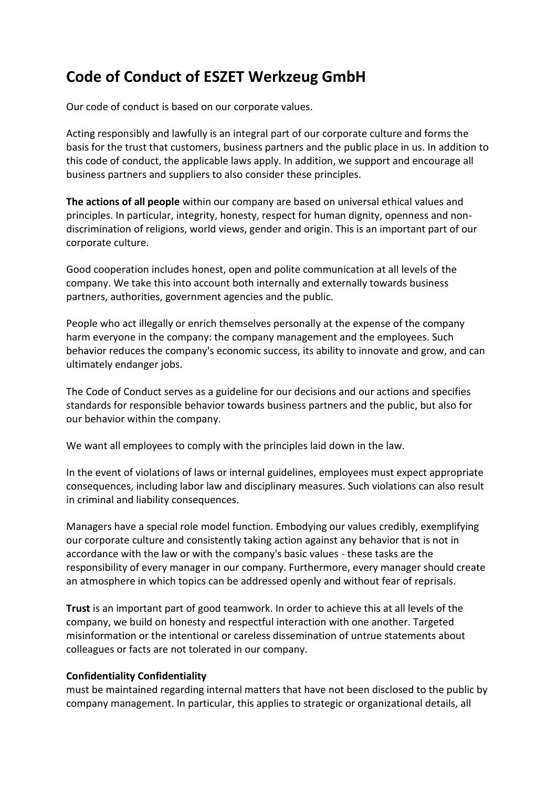# **Code of Conduct of ESZET Werkzeug GmbH**

Our code of conduct is based on our corporate values.

Acting responsibly and lawfully is an integral part of our corporate culture and forms the basis for the trust that customers, business partners and the public place in us. In addition to this code of conduct, the applicable laws apply. In addition, we support and encourage all business partners and suppliers to also consider these principles.

**The actions of all people** within our company are based on universal ethical values and principles. In particular, integrity, honesty, respect for human dignity, openness and nondiscrimination of religions, world views, gender and origin. This is an important part of our corporate culture.

Good cooperation includes honest, open and polite communication at all levels of the company. We take this into account both internally and externally towards business partners, authorities, government agencies and the public.

People who act illegally or enrich themselves personally at the expense of the company harm everyone in the company: the company management and the employees. Such behavior reduces the company's economic success, its ability to innovate and grow, and can ultimately endanger jobs.

The Code of Conduct serves as a guideline for our decisions and our actions and specifies standards for responsible behavior towards business partners and the public, but also for our behavior within the company.

We want all employees to comply with the principles laid down in the law.

In the event of violations of laws or internal guidelines, employees must expect appropriate consequences, including labor law and disciplinary measures. Such violations can also result in criminal and liability consequences.

Managers have a special role model function. Embodying our values credibly, exemplifying our corporate culture and consistently taking action against any behavior that is not in accordance with the law or with the company's basic values - these tasks are the responsibility of every manager in our company. Furthermore, every manager should create an atmosphere in which topics can be addressed openly and without fear of reprisals.

**Trust** is an important part of good teamwork. In order to achieve this at all levels of the company, we build on honesty and respectful interaction with one another. Targeted misinformation or the intentional or careless dissemination of untrue statements about colleagues or facts are not tolerated in our company.

#### **Confidentiality Confidentiality**

must be maintained regarding internal matters that have not been disclosed to the public by company management. In particular, this applies to strategic or organizational details, all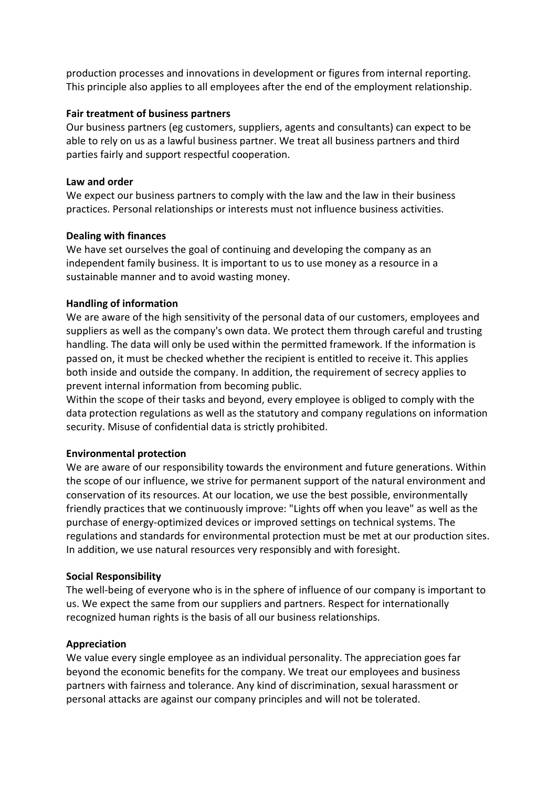production processes and innovations in development or figures from internal reporting. This principle also applies to all employees after the end of the employment relationship.

#### **Fair treatment of business partners**

Our business partners (eg customers, suppliers, agents and consultants) can expect to be able to rely on us as a lawful business partner. We treat all business partners and third parties fairly and support respectful cooperation.

## **Law and order**

We expect our business partners to comply with the law and the law in their business practices. Personal relationships or interests must not influence business activities.

## **Dealing with finances**

We have set ourselves the goal of continuing and developing the company as an independent family business. It is important to us to use money as a resource in a sustainable manner and to avoid wasting money.

# **Handling of information**

We are aware of the high sensitivity of the personal data of our customers, employees and suppliers as well as the company's own data. We protect them through careful and trusting handling. The data will only be used within the permitted framework. If the information is passed on, it must be checked whether the recipient is entitled to receive it. This applies both inside and outside the company. In addition, the requirement of secrecy applies to prevent internal information from becoming public.

Within the scope of their tasks and beyond, every employee is obliged to comply with the data protection regulations as well as the statutory and company regulations on information security. Misuse of confidential data is strictly prohibited.

# **Environmental protection**

We are aware of our responsibility towards the environment and future generations. Within the scope of our influence, we strive for permanent support of the natural environment and conservation of its resources. At our location, we use the best possible, environmentally friendly practices that we continuously improve: "Lights off when you leave" as well as the purchase of energy-optimized devices or improved settings on technical systems. The regulations and standards for environmental protection must be met at our production sites. In addition, we use natural resources very responsibly and with foresight.

# **Social Responsibility**

The well-being of everyone who is in the sphere of influence of our company is important to us. We expect the same from our suppliers and partners. Respect for internationally recognized human rights is the basis of all our business relationships.

# **Appreciation**

We value every single employee as an individual personality. The appreciation goes far beyond the economic benefits for the company. We treat our employees and business partners with fairness and tolerance. Any kind of discrimination, sexual harassment or personal attacks are against our company principles and will not be tolerated.